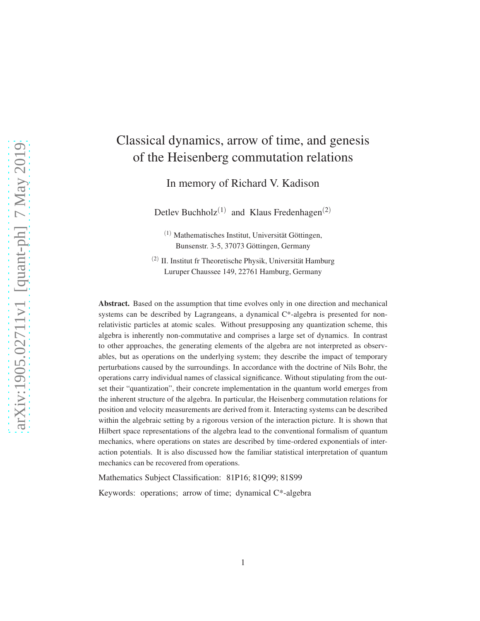# Classical dynamics, arrow of time, and genesis of the Heisenberg commutation relations

In memory of Richard V. Kadison

Detlev Buchholz<sup>(1)</sup> and Klaus Fredenhagen<sup>(2)</sup>

 $(1)$  Mathematisches Institut, Universität Göttingen, Bunsenstr. 3-5, 37073 Göttingen, Germany

 $(2)$  II. Institut fr Theoretische Physik, Universität Hamburg Luruper Chaussee 149, 22761 Hamburg, Germany

Abstract. Based on the assumption that time evolves only in one direction and mechanical systems can be described by Lagrangeans, a dynamical C\*-algebra is presented for nonrelativistic particles at atomic scales. Without presupposing any quantization scheme, this algebra is inherently non-commutative and comprises a large set of dynamics. In contrast to other approaches, the generating elements of the algebra are not interpreted as observables, but as operations on the underlying system; they describe the impact of temporary perturbations caused by the surroundings. In accordance with the doctrine of Nils Bohr, the operations carry individual names of classical significance. Without stipulating from the outset their "quantization", their concrete implementation in the quantum world emerges from the inherent structure of the algebra. In particular, the Heisenberg commutation relations for position and velocity measurements are derived from it. Interacting systems can be described within the algebraic setting by a rigorous version of the interaction picture. It is shown that Hilbert space representations of the algebra lead to the conventional formalism of quantum mechanics, where operations on states are described by time-ordered exponentials of interaction potentials. It is also discussed how the familiar statistical interpretation of quantum mechanics can be recovered from operations.

Mathematics Subject Classification: 81P16; 81Q99; 81S99

Keywords: operations; arrow of time; dynamical C\*-algebra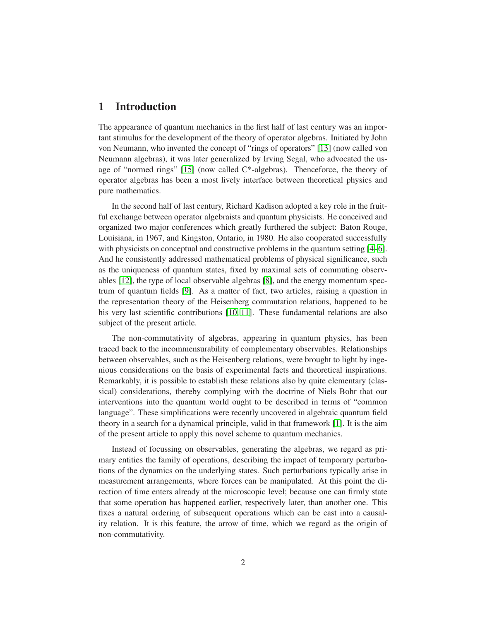# 1 Introduction

The appearance of quantum mechanics in the first half of last century was an important stimulus for the development of the theory of operator algebras. Initiated by John von Neumann, who invented the concept of "rings of operators" [\[13\]](#page-20-0) (now called von Neumann algebras), it was later generalized by Irving Segal, who advocated the usage of "normed rings" [\[15\]](#page-20-1) (now called C\*-algebras). Thenceforce, the theory of operator algebras has been a most lively interface between theoretical physics and pure mathematics.

In the second half of last century, Richard Kadison adopted a key role in the fruitful exchange between operator algebraists and quantum physicists. He conceived and organized two major conferences which greatly furthered the subject: Baton Rouge, Louisiana, in 1967, and Kingston, Ontario, in 1980. He also cooperated successfully with physicists on conceptual and constructive problems in the quantum setting [\[4–](#page-19-0)[6\]](#page-19-1). And he consistently addressed mathematical problems of physical significance, such as the uniqueness of quantum states, fixed by maximal sets of commuting observables [\[12\]](#page-20-2), the type of local observable algebras [\[8\]](#page-19-2), and the energy momentum spectrum of quantum fields [\[9\]](#page-19-3). As a matter of fact, two articles, raising a question in the representation theory of the Heisenberg commutation relations, happened to be his very last scientific contributions [\[10,](#page-19-4) [11\]](#page-20-3). These fundamental relations are also subject of the present article.

The non-commutativity of algebras, appearing in quantum physics, has been traced back to the incommensurability of complementary observables. Relationships between observables, such as the Heisenberg relations, were brought to light by ingenious considerations on the basis of experimental facts and theoretical inspirations. Remarkably, it is possible to establish these relations also by quite elementary (classical) considerations, thereby complying with the doctrine of Niels Bohr that our interventions into the quantum world ought to be described in terms of "common language". These simplifications were recently uncovered in algebraic quantum field theory in a search for a dynamical principle, valid in that framework [\[1\]](#page-19-5). It is the aim of the present article to apply this novel scheme to quantum mechanics.

Instead of focussing on observables, generating the algebras, we regard as primary entities the family of operations, describing the impact of temporary perturbations of the dynamics on the underlying states. Such perturbations typically arise in measurement arrangements, where forces can be manipulated. At this point the direction of time enters already at the microscopic level; because one can firmly state that some operation has happened earlier, respectively later, than another one. This fixes a natural ordering of subsequent operations which can be cast into a causality relation. It is this feature, the arrow of time, which we regard as the origin of non-commutativity.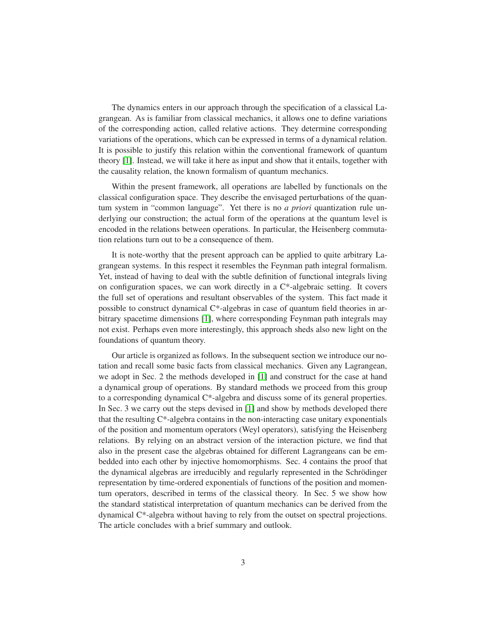The dynamics enters in our approach through the specification of a classical Lagrangean. As is familiar from classical mechanics, it allows one to define variations of the corresponding action, called relative actions. They determine corresponding variations of the operations, which can be expressed in terms of a dynamical relation. It is possible to justify this relation within the conventional framework of quantum theory [\[1\]](#page-19-5). Instead, we will take it here as input and show that it entails, together with the causality relation, the known formalism of quantum mechanics.

Within the present framework, all operations are labelled by functionals on the classical configuration space. They describe the envisaged perturbations of the quantum system in "common language". Yet there is no *a priori* quantization rule underlying our construction; the actual form of the operations at the quantum level is encoded in the relations between operations. In particular, the Heisenberg commutation relations turn out to be a consequence of them.

It is note-worthy that the present approach can be applied to quite arbitrary Lagrangean systems. In this respect it resembles the Feynman path integral formalism. Yet, instead of having to deal with the subtle definition of functional integrals living on configuration spaces, we can work directly in a  $C^*$ -algebraic setting. It covers the full set of operations and resultant observables of the system. This fact made it possible to construct dynamical C\*-algebras in case of quantum field theories in arbitrary spacetime dimensions [\[1\]](#page-19-5), where corresponding Feynman path integrals may not exist. Perhaps even more interestingly, this approach sheds also new light on the foundations of quantum theory.

Our article is organized as follows. In the subsequent section we introduce our notation and recall some basic facts from classical mechanics. Given any Lagrangean, we adopt in Sec. 2 the methods developed in [\[1\]](#page-19-5) and construct for the case at hand a dynamical group of operations. By standard methods we proceed from this group to a corresponding dynamical C\*-algebra and discuss some of its general properties. In Sec. 3 we carry out the steps devised in [\[1\]](#page-19-5) and show by methods developed there that the resulting C\*-algebra contains in the non-interacting case unitary exponentials of the position and momentum operators (Weyl operators), satisfying the Heisenberg relations. By relying on an abstract version of the interaction picture, we find that also in the present case the algebras obtained for different Lagrangeans can be embedded into each other by injective homomorphisms. Sec. 4 contains the proof that the dynamical algebras are irreducibly and regularly represented in the Schrödinger representation by time-ordered exponentials of functions of the position and momentum operators, described in terms of the classical theory. In Sec. 5 we show how the standard statistical interpretation of quantum mechanics can be derived from the dynamical  $C^*$ -algebra without having to rely from the outset on spectral projections. The article concludes with a brief summary and outlook.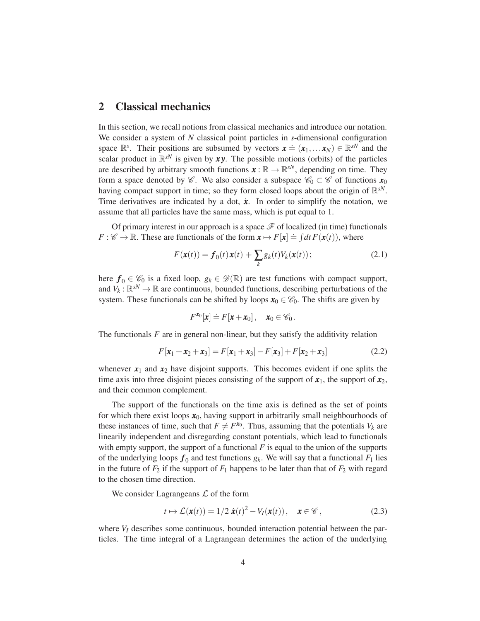#### 2 Classical mechanics

In this section, we recall notions from classical mechanics and introduce our notation. We consider a system of *N* classical point particles in *s*-dimensional configuration space  $\mathbb{R}^s$ . Their positions are subsumed by vectors  $\mathbf{x} = (\mathbf{x}_1, \dots, \mathbf{x}_N) \in \mathbb{R}^{sN}$  and the scalar product in  $\mathbb{R}^{sN}$  is given by xy. The possible motions (orbits) of the particles are described by arbitrary smooth functions  $\mathbf{x} : \mathbb{R} \to \mathbb{R}^{sN}$ , depending on time. They form a space denoted by  $\mathscr{C}$ . We also consider a subspace  $\mathscr{C}_0 \subset \mathscr{C}$  of functions  $\mathbf{x}_0$ having compact support in time; so they form closed loops about the origin of  $\mathbb{R}^{sN}$ . Time derivatives are indicated by a dot,  $\dot{x}$ . In order to simplify the notation, we assume that all particles have the same mass, which is put equal to 1.

Of primary interest in our approach is a space  $\mathscr F$  of localized (in time) functionals  $F : \mathscr{C} \to \mathbb{R}$ . These are functionals of the form  $\mathbf{x} \mapsto F[\mathbf{x}] \doteq \int dt F(\mathbf{x}(t))$ , where

<span id="page-3-0"></span>
$$
F(\mathbf{x}(t)) = \mathbf{f}_0(t)\mathbf{x}(t) + \sum_k g_k(t)V_k(\mathbf{x}(t));
$$
\n(2.1)

here  $f_0 \in \mathscr{C}_0$  is a fixed loop,  $g_k \in \mathscr{D}(\mathbb{R})$  are test functions with compact support, and  $V_k: \mathbb{R}^{sN} \to \mathbb{R}$  are continuous, bounded functions, describing perturbations of the system. These functionals can be shifted by loops  $x_0 \in \mathcal{C}_0$ . The shifts are given by

$$
F^{\mathbf{x}_0}[\mathbf{x}] \doteq F[\mathbf{x} + \mathbf{x}_0], \quad \mathbf{x}_0 \in \mathscr{C}_0.
$$

The functionals *F* are in general non-linear, but they satisfy the additivity relation

<span id="page-3-2"></span>
$$
F[x_1 + x_2 + x_3] = F[x_1 + x_3] - F[x_3] + F[x_2 + x_3]
$$
\n(2.2)

whenever  $x_1$  and  $x_2$  have disjoint supports. This becomes evident if one splits the time axis into three disjoint pieces consisting of the support of  $x_1$ , the support of  $x_2$ , and their common complement.

The support of the functionals on the time axis is defined as the set of points for which there exist loops  $x_0$ , having support in arbitrarily small neighbourhoods of these instances of time, such that  $F \neq F^{x_0}$ . Thus, assuming that the potentials  $V_k$  are linearily independent and disregarding constant potentials, which lead to functionals with empty support, the support of a functional  $F$  is equal to the union of the supports of the underlying loops  $f_0$  and test functions  $g_k$ . We will say that a functional  $F_1$  lies in the future of  $F_2$  if the support of  $F_1$  happens to be later than that of  $F_2$  with regard to the chosen time direction.

We consider Lagrangeans  $\mathcal L$  of the form

<span id="page-3-1"></span>
$$
t \mapsto \mathcal{L}(\mathbf{x}(t)) = 1/2 \dot{\mathbf{x}}(t)^2 - V_I(\mathbf{x}(t)), \quad \mathbf{x} \in \mathscr{C},
$$
 (2.3)

where  $V_I$  describes some continuous, bounded interaction potential between the particles. The time integral of a Lagrangean determines the action of the underlying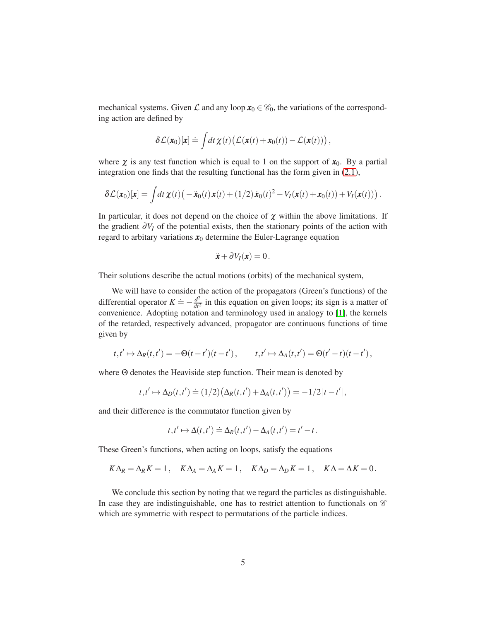mechanical systems. Given  $\mathcal L$  and any loop  $x_0 \in \mathcal C_0$ , the variations of the corresponding action are defined by

$$
\delta \mathcal{L}(\pmb{x}_0)[\pmb{x}] \doteq \int dt \, \pmb{\chi}(t) \big( \mathcal{L}(\pmb{x}(t) + \pmb{x}_0(t)) - \mathcal{L}(\pmb{x}(t)) \big) \,,
$$

where  $\chi$  is any test function which is equal to 1 on the support of  $x_0$ . By a partial integration one finds that the resulting functional has the form given in [\(2.1\)](#page-3-0),

$$
\delta \mathcal{L}(\boldsymbol{x}_0)[\boldsymbol{x}] = \int dt \, \boldsymbol{\chi}(t) \big( -\ddot{\boldsymbol{x}}_0(t) \, \boldsymbol{x}(t) + (1/2) \, \dot{\boldsymbol{x}}_0(t)^2 - V_I(\boldsymbol{x}(t) + \boldsymbol{x}_0(t)) + V_I(\boldsymbol{x}(t)) \big) \, .
$$

In particular, it does not depend on the choice of  $\chi$  within the above limitations. If the gradient <sup>∂</sup>*V<sup>I</sup>* of the potential exists, then the stationary points of the action with regard to arbitary variations  $x_0$  determine the Euler-Lagrange equation

$$
\ddot{\boldsymbol{x}} + \partial V_I(\boldsymbol{x}) = 0.
$$

Their solutions describe the actual motions (orbits) of the mechanical system,

We will have to consider the action of the propagators (Green's functions) of the differential operator  $K = -\frac{d^2}{dt^2}$  $\frac{d^2}{dt^2}$  in this equation on given loops; its sign is a matter of convenience. Adopting notation and terminology used in analogy to [\[1\]](#page-19-5), the kernels of the retarded, respectively advanced, propagator are continuous functions of time given by

$$
t, t' \mapsto \Delta_R(t, t') = -\Theta(t - t')(t - t'), \qquad t, t' \mapsto \Delta_A(t, t') = \Theta(t' - t)(t - t'),
$$

where Θ denotes the Heaviside step function. Their mean is denoted by

$$
t,t'\mapsto \Delta_D(t,t')\doteq (1/2)\big(\Delta_R(t,t')+\Delta_A(t,t')\big)=-1/2\left|t-t'\right|,
$$

and their difference is the commutator function given by

$$
t, t' \mapsto \Delta(t, t') \doteq \Delta_R(t, t') - \Delta_A(t, t') = t' - t.
$$

These Green's functions, when acting on loops, satisfy the equations

$$
K\Delta_R = \Delta_R K = 1, \quad K\Delta_A = \Delta_A K = 1, \quad K\Delta_D = \Delta_D K = 1, \quad K\Delta = \Delta K = 0.
$$

We conclude this section by noting that we regard the particles as distinguishable. In case they are indistinguishable, one has to restrict attention to functionals on  $\mathscr C$ which are symmetric with respect to permutations of the particle indices.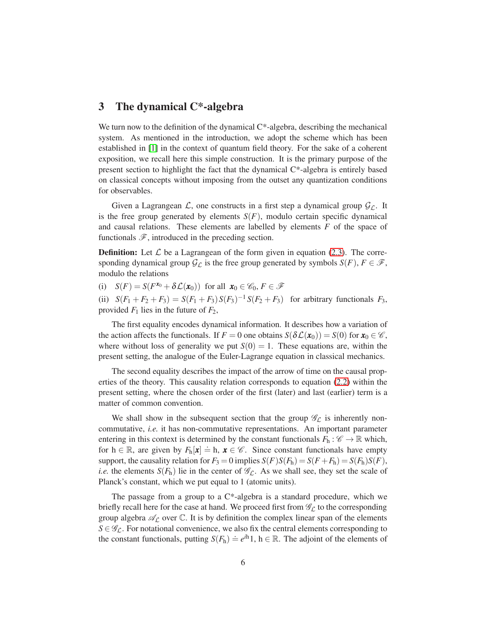# 3 The dynamical C\*-algebra

We turn now to the definition of the dynamical C<sup>\*</sup>-algebra, describing the mechanical system. As mentioned in the introduction, we adopt the scheme which has been established in [\[1\]](#page-19-5) in the context of quantum field theory. For the sake of a coherent exposition, we recall here this simple construction. It is the primary purpose of the present section to highlight the fact that the dynamical  $C^*$ -algebra is entirely based on classical concepts without imposing from the outset any quantization conditions for observables.

Given a Lagrangean  $\mathcal{L}$ , one constructs in a first step a dynamical group  $\mathcal{G}_{\mathcal{L}}$ . It is the free group generated by elements  $S(F)$ , modulo certain specific dynamical and causal relations. These elements are labelled by elements *F* of the space of functionals  $\mathscr{F}$ , introduced in the preceding section.

**Definition:** Let  $\mathcal{L}$  be a Lagrangean of the form given in equation [\(2.3\)](#page-3-1). The corresponding dynamical group  $\mathcal{G}_L$  is the free group generated by symbols  $S(F)$ ,  $F \in \mathcal{F}$ , modulo the relations

(i)  $S(F) = S(F^{x_0} + \delta \mathcal{L}(x_0))$  for all  $x_0 \in \mathscr{C}_0, F \in \mathscr{F}$ 

(ii)  $S(F_1 + F_2 + F_3) = S(F_1 + F_3)S(F_3)^{-1}S(F_2 + F_3)$  for arbitrary functionals  $F_3$ , provided  $F_1$  lies in the future of  $F_2$ ,

The first equality encodes dynamical information. It describes how a variation of the action affects the functionals. If  $F = 0$  one obtains  $S(\delta \mathcal{L}(x_0)) = S(0)$  for  $x_0 \in \mathcal{C}$ , where without loss of generality we put  $S(0) = 1$ . These equations are, within the present setting, the analogue of the Euler-Lagrange equation in classical mechanics.

The second equality describes the impact of the arrow of time on the causal properties of the theory. This causality relation corresponds to equation [\(2.2\)](#page-3-2) within the present setting, where the chosen order of the first (later) and last (earlier) term is a matter of common convention.

We shall show in the subsequent section that the group  $\mathscr{G}_{\mathcal{L}}$  is inherently noncommutative, *i.e.* it has non-commutative representations. An important parameter entering in this context is determined by the constant functionals  $F_h : \mathscr{C} \to \mathbb{R}$  which, for  $h \in \mathbb{R}$ , are given by  $F_h[x] \doteq h$ ,  $x \in \mathcal{C}$ . Since constant functionals have empty support, the causality relation for  $F_3 = 0$  implies  $S(F)S(F_h) = S(F + F_h) = S(F_h)S(F)$ , *i.e.* the elements  $S(F_h)$  lie in the center of  $\mathscr{G}_L$ . As we shall see, they set the scale of Planck's constant, which we put equal to 1 (atomic units).

The passage from a group to a  $C^*$ -algebra is a standard procedure, which we briefly recall here for the case at hand. We proceed first from  $\mathscr{G}_{\mathcal{L}}$  to the corresponding group algebra  $\mathscr{A}_{\mathcal{L}}$  over  $\mathbb{C}$ . It is by definition the complex linear span of the elements  $S \in \mathscr{G}_{\mathcal{L}}$ . For notational convenience, we also fix the central elements corresponding to the constant functionals, putting  $S(F_h) \doteq e^{ih}1$ ,  $h \in \mathbb{R}$ . The adjoint of the elements of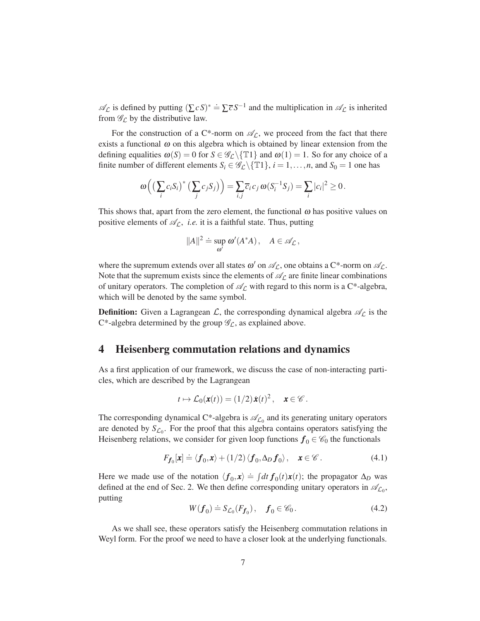$\mathscr{A}_{\mathcal{L}}$  is defined by putting  $(\sum c S)^* = \sum \overline{c} S^{-1}$  and the multiplication in  $\mathscr{A}_{\mathcal{L}}$  is inherited from  $\mathscr{G}_\mathcal{L}$  by the distributive law.

For the construction of a C\*-norm on  $\mathscr{A}_{\mathcal{L}}$ , we proceed from the fact that there exists a functional  $\omega$  on this algebra which is obtained by linear extension from the defining equalities  $\omega(S) = 0$  for  $S \in \mathscr{G}_{\mathcal{L}} \setminus \{T1\}$  and  $\omega(1) = 1$ . So for any choice of a finite number of different elements  $S_i \in \mathscr{G}_L \setminus \{T1\}$ ,  $i = 1, \ldots, n$ , and  $S_0 = 1$  one has

$$
\omega\left(\left(\sum_{i}c_{i}S_{i}\right)^{*}\left(\sum_{j}c_{j}S_{j}\right)\right)=\sum_{i,j}\overline{c}_{i}c_{j}\omega(S_{i}^{-1}S_{j})=\sum_{i}|c_{i}|^{2}\geq 0.
$$

This shows that, apart from the zero element, the functional  $\omega$  has positive values on positive elements of  $\mathcal{A}_{\mathcal{L}}$ , *i.e.* it is a faithful state. Thus, putting

$$
||A||^2 \doteq \sup_{\omega'} \omega'(A^*A), \quad A \in \mathscr{A}_{\mathcal{L}},
$$

where the supremum extends over all states  $\omega'$  on  $\mathscr{A}_{\mathcal{L}}$ , one obtains a C\*-norm on  $\mathscr{A}_{\mathcal{L}}$ . Note that the supremum exists since the elements of  $\mathscr{A}_{\mathcal{L}}$  are finite linear combinations of unitary operators. The completion of  $\mathscr{A}_{\mathcal{L}}$  with regard to this norm is a C\*-algebra, which will be denoted by the same symbol.

**Definition:** Given a Lagrangean  $\mathcal{L}$ , the corresponding dynamical algebra  $\mathcal{A}_{\mathcal{L}}$  is the C\*-algebra determined by the group  $\mathscr{G}_{\mathcal{L}}$ , as explained above.

#### 4 Heisenberg commutation relations and dynamics

As a first application of our framework, we discuss the case of non-interacting particles, which are described by the Lagrangean

$$
t\mapsto \mathcal{L}_0(\mathbf{x}(t))=(1/2)\dot{\mathbf{x}}(t)^2\,,\quad \mathbf{x}\in\mathscr{C}\,.
$$

The corresponding dynamical C\*-algebra is  $\mathcal{A}_{\mathcal{L}_0}$  and its generating unitary operators are denoted by  $S_{\mathcal{L}_0}$ . For the proof that this algebra contains operators satisfying the Heisenberg relations, we consider for given loop functions  $f_0 \in \mathcal{C}_0$  the functionals

<span id="page-6-1"></span>
$$
F_{f_0}[\mathbf{x}] \doteq \langle \mathbf{f}_0, \mathbf{x} \rangle + (1/2) \langle \mathbf{f}_0, \Delta_D \mathbf{f}_0 \rangle, \quad \mathbf{x} \in \mathscr{C} \,.
$$
 (4.1)

Here we made use of the notation  $\langle f_0, x \rangle \doteq \int dt f_0(t)x(t)$ ; the propagator  $\Delta_D$  was defined at the end of Sec. 2. We then define corresponding unitary operators in  $\mathscr{A}_{\mathcal{L}_0}$ , putting

<span id="page-6-0"></span>
$$
W(f_0) \doteq S_{\mathcal{L}_0}(F_{f_0}), \quad f_0 \in \mathscr{C}_0. \tag{4.2}
$$

As we shall see, these operators satisfy the Heisenberg commutation relations in Weyl form. For the proof we need to have a closer look at the underlying functionals.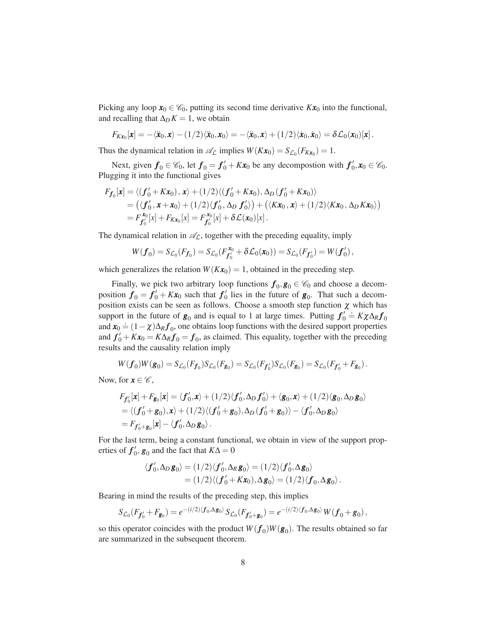Picking any loop  $x_0 \in \mathcal{C}_0$ , putting its second time derivative  $Kx_0$  into the functional, and recalling that  $\Delta_D K = 1$ , we obtain

$$
F_{K\mathbf{x}_0}[\mathbf{x}] = -\langle \ddot{\mathbf{x}}_0, \mathbf{x} \rangle - (1/2) \langle \ddot{\mathbf{x}}_0, \mathbf{x}_0 \rangle = -\langle \ddot{\mathbf{x}}_0, \mathbf{x} \rangle + (1/2) \langle \dot{\mathbf{x}}_0, \dot{\mathbf{x}}_0 \rangle = \delta \mathcal{L}_0(\mathbf{x}_0)[\mathbf{x}].
$$

Thus the dynamical relation in  $\mathcal{A}_{\mathcal{L}}$  implies  $W(Kx_0) = S_{\mathcal{L}_0}(F_{Kx_0}) = 1$ .

Next, given  $f_0 \in \mathcal{C}_0$ , let  $f_0 = f'_0 + Kx_0$  be any decompostion with  $f'_0, x_0 \in \mathcal{C}_0$ . Plugging it into the functional gives

$$
F_{f_0}[\mathbf{x}] = \langle (f'_0 + K\mathbf{x}_0), \mathbf{x} \rangle + (1/2) \langle (f'_0 + K\mathbf{x}_0), \Delta_D(f'_0 + K\mathbf{x}_0) \rangle
$$
  
=  $(\langle f'_0, \mathbf{x} + \mathbf{x}_0 \rangle + (1/2) \langle f'_0, \Delta_D f'_0 \rangle) + (\langle K\mathbf{x}_0, \mathbf{x} \rangle + (1/2) \langle K\mathbf{x}_0, \Delta_D K\mathbf{x}_0 \rangle)$   
=  $F_{f'_0}^{\mathbf{x}_0}[\mathbf{x}] + F_{K\mathbf{x}_0}[\mathbf{x}] = F_{f'_0}^{\mathbf{x}_0}[\mathbf{x}] + \delta \mathcal{L}(\mathbf{x}_0)[\mathbf{x}].$ 

The dynamical relation in  $\mathcal{A}_{\mathcal{L}}$ , together with the preceding equality, imply

$$
W(\boldsymbol{f}_0) = S_{\mathcal{L}_0}(F_{\boldsymbol{f}_0}) = S_{\mathcal{L}_0}(F_{\boldsymbol{f}'_0}^{x_0} + \delta \mathcal{L}_0(x_0)) = S_{\mathcal{L}_0}(F_{\boldsymbol{f}'_0}) = W(\boldsymbol{f}'_0),
$$

which generalizes the relation  $W(Kx_0) = 1$ , obtained in the preceding step.

Finally, we pick two arbitrary loop functions  $f_0, g_0 \in \mathcal{C}_0$  and choose a decomposition  $f_0 = f'_0 + Kx_0$  such that  $f'_0$  lies in the future of  $g_0$ . That such a decomposition exists can be seen as follows. Choose a smooth step function  $\chi$  which has support in the future of  $g_0$  and is equal to 1 at large times. Putting  $f'_0 = K \chi \Delta_R f_0$ and  $\mathbf{x}_0 = (1 - \chi)\Delta_R \mathbf{f}_0$ , one obtains loop functions with the desired support properties and  $f'_0 + Kx_0 = K\Delta_R f_0 = f_0$ , as claimed. This equality, together with the preceding results and the causality relation imply

$$
W(\bm{f}_0)W(\bm{g}_0)=S_{\mathcal{L}_0}(F_{\bm{f}_0})S_{\mathcal{L}_0}(F_{\bm{g}_0})=S_{\mathcal{L}_0}(F_{\bm{f}'_0})S_{\mathcal{L}_0}(F_{\bm{g}_0})=S_{\mathcal{L}_0}(F_{\bm{f}'_0}+F_{\bm{g}_0}).
$$

Now, for  $x \in \mathscr{C}$ ,

$$
F_{f'_0}[\mathbf{x}] + F_{g_0}[\mathbf{x}] = \langle f'_0, \mathbf{x} \rangle + (1/2) \langle f'_0, \Delta_D f'_0 \rangle + \langle g_0, \mathbf{x} \rangle + (1/2) \langle g_0, \Delta_D g_0 \rangle
$$
  
= \langle (f'\_0 + g\_0), \mathbf{x} \rangle + (1/2) \langle (f'\_0 + g\_0), \Delta\_D (f'\_0 + g\_0) \rangle - \langle f'\_0, \Delta\_D g\_0 \rangle  
= F\_{f'\_0 + g\_0}[\mathbf{x}] - \langle f'\_0, \Delta\_D g\_0 \rangle.

For the last term, being a constant functional, we obtain in view of the support properties of  $f'_{0}$ ,  $g_{0}$  and the fact that  $K\Delta = 0$ 

$$
\langle f'_0, \Delta_D \mathbf{g}_0 \rangle = (1/2) \langle f'_0, \Delta_R \mathbf{g}_0 \rangle = (1/2) \langle f'_0, \Delta \mathbf{g}_0 \rangle
$$
  
=  $(1/2) \langle (f'_0 + K\mathbf{x}_0), \Delta \mathbf{g}_0 \rangle = (1/2) \langle f_0, \Delta \mathbf{g}_0 \rangle$ .

Bearing in mind the results of the preceding step, this implies

$$
S_{\mathcal{L}_0}(F_{\boldsymbol{f}_0'}+F_{\boldsymbol{g}_0})=e^{-(i/2)\langle\boldsymbol{f}_0,\boldsymbol{\Delta g}_0\rangle}S_{\mathcal{L}_0}(F_{\boldsymbol{f}_0'+\boldsymbol{g}_0})=e^{-(i/2)\langle\boldsymbol{f}_0,\boldsymbol{\Delta g}_0\rangle}W(\boldsymbol{f}_0+\boldsymbol{g}_0),
$$

so this operator coincides with the product  $W(f_0)W(\mathbf{g}_0)$ . The results obtained so far are summarized in the subsequent theorem.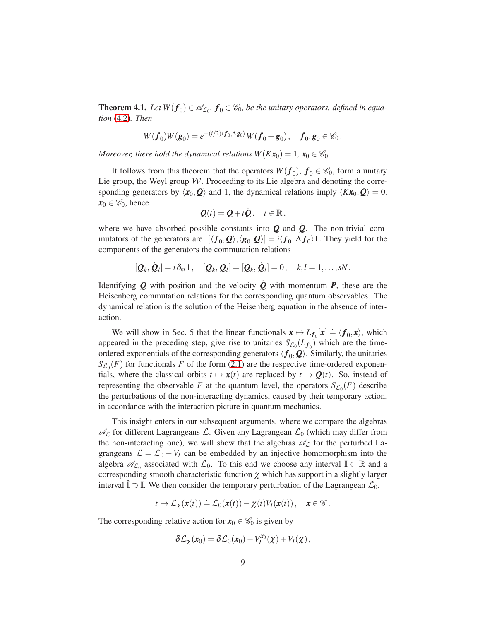<span id="page-8-0"></span>**Theorem 4.1.** Let  $W(f_0) \in \mathscr{A}_{\mathcal{L}_0}$ ,  $f_0 \in \mathscr{C}_0$ , be the unitary operators, defined in equa*tion* [\(4.2\)](#page-6-0)*. Then*

$$
W(\boldsymbol{f}_0)W(\boldsymbol{g}_0)=e^{-(i/2)\langle\boldsymbol{f}_0,\boldsymbol{\Delta}\boldsymbol{g}_0\rangle}W(\boldsymbol{f}_0+\boldsymbol{g}_0),\quad \boldsymbol{f}_0,\boldsymbol{g}_0\in\mathscr{C}_0.
$$

*Moreover, there hold the dynamical relations*  $W(Kx_0) = 1$ ,  $x_0 \in \mathcal{C}_0$ .

It follows from this theorem that the operators  $W(f_0)$ ,  $f_0 \in \mathcal{C}_0$ , form a unitary Lie group, the Weyl group  $W$ . Proceeding to its Lie algebra and denoting the corresponding generators by  $\langle x_0, \mathbf{Q} \rangle$  and 1, the dynamical relations imply  $\langle Kx_0, \mathbf{Q} \rangle = 0$ ,  $x_0 \in \mathscr{C}_0$ , hence

$$
\mathbf{Q}(t) = \mathbf{Q} + t\dot{\mathbf{Q}}, \quad t \in \mathbb{R},
$$

where we have absorbed possible constants into  $Q$  and  $\dot{Q}$ . The non-trivial commutators of the generators are  $[\langle f_0, \mathcal{Q} \rangle, \langle \mathbf{g}_0, \mathcal{Q} \rangle] = i \langle f_0, \Delta f_0 \rangle$ 1. They yield for the components of the generators the commutation relations

$$
[\mathbf{Q}_k, \dot{\mathbf{Q}}_l] = i \, \delta_{kl} \mathbb{1} \,, \quad [\mathbf{Q}_k, \mathbf{Q}_l] = [\dot{\mathbf{Q}}_k, \dot{\mathbf{Q}}_l] = 0 \,, \quad k, l = 1, \ldots, sN \,.
$$

Identifying **Q** with position and the velocity **Q** with momentum **P**, these are the Heisenberg commutation relations for the corresponding quantum observables. The dynamical relation is the solution of the Heisenberg equation in the absence of interaction.

We will show in Sec. 5 that the linear functionals  $x \mapsto L_{f_0}[x] \doteq \langle f_0, x \rangle$ , which appeared in the preceding step, give rise to unitaries  $S_{\mathcal{L}_0}(L_{f_0})$  which are the timeordered exponentials of the corresponding generators  $\langle f_0, \mathcal{Q} \rangle$ . Similarly, the unitaries  $S_{\mathcal{L}_0}(F)$  for functionals *F* of the form [\(2.1\)](#page-3-0) are the respective time-ordered exponentials, where the classical orbits  $t \mapsto x(t)$  are replaced by  $t \mapsto Q(t)$ . So, instead of representing the observable *F* at the quantum level, the operators  $S_{\mathcal{L}_0}(F)$  describe the perturbations of the non-interacting dynamics, caused by their temporary action, in accordance with the interaction picture in quantum mechanics.

This insight enters in our subsequent arguments, where we compare the algebras  $\mathscr{A}_{\mathcal{L}}$  for different Lagrangeans  $\mathcal{L}$ . Given any Lagrangean  $\mathcal{L}_0$  (which may differ from the non-interacting one), we will show that the algebras  $\mathscr{A}_{\mathcal{L}}$  for the perturbed Lagrangeans  $\mathcal{L} = \mathcal{L}_0 - V_I$  can be embedded by an injective homomorphism into the algebra  $\mathscr{A}_{\mathcal{L}_0}$  associated with  $\mathcal{L}_0$ . To this end we choose any interval  $\mathbb{I} \subset \mathbb{R}$  and a corresponding smooth characteristic function  $\chi$  which has support in a slightly larger interval  $\hat{\mathbb{I}} \supset \mathbb{I}$ . We then consider the temporary perturbation of the Lagrangean  $\mathcal{L}_0$ ,

$$
t\mapsto \mathcal{L}_{\chi}(\mathbf{x}(t))\doteq \mathcal{L}_0(\mathbf{x}(t))-\chi(t)V_I(\mathbf{x}(t)),\quad \mathbf{x}\in\mathscr{C}.
$$

The corresponding relative action for  $x_0 \in \mathcal{C}_0$  is given by

$$
\delta \mathcal{L}_{\chi}(\boldsymbol{x}_0) = \delta \mathcal{L}_0(\boldsymbol{x}_0) - V_I^{\boldsymbol{x}_0}(\chi) + V_I(\chi),
$$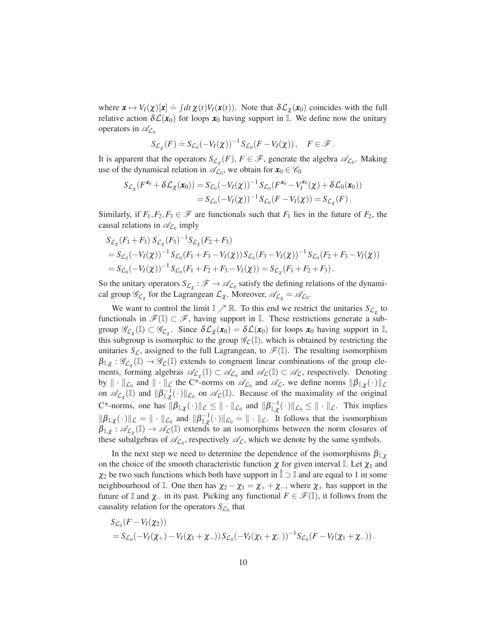where  $\mathbf{x} \mapsto V_I(\mathbf{x})[\mathbf{x}] \doteq \int dt \, \mathbf{\chi}(t) V_I(\mathbf{x}(t))$ . Note that  $\delta \mathcal{L}_{\mathbf{\chi}}(\mathbf{x}_0)$  coincides with the full relative action  $\delta\mathcal{L}(x_0)$  for loops  $x_0$  having support in I. We define now the unitary operators in  $\mathscr{A}_{\mathcal{L}_0}$ 

$$
S_{\mathcal{L}_{\chi}}(F) \doteq S_{\mathcal{L}_0}(-V_I(\chi))^{-1} S_{\mathcal{L}_0}(F - V_I(\chi)), \quad F \in \mathcal{F}.
$$

It is apparent that the operators  $S_{\mathcal{L}_{\chi}}(F)$ ,  $F \in \mathcal{F}$ , generate the algebra  $\mathcal{A}_{\mathcal{L}_0}$ . Making use of the dynamical relation in  $\mathcal{A}_{\mathcal{L}_0}$ , we obtain for  $\mathbf{x}_0 \in \mathcal{C}_0$ 

$$
S_{\mathcal{L}_{\chi}}(F^{\mathbf{x}_0} + \delta \mathcal{L}_{\chi}(\mathbf{x}_0)) = S_{\mathcal{L}_0}(-V_I(\chi))^{-1} S_{\mathcal{L}_0}(F^{\mathbf{x}_0} - V_I^{\mathbf{x}_0}(\chi) + \delta \mathcal{L}_0(\mathbf{x}_0))
$$
  
=  $S_{\mathcal{L}_0}(-V_I(\chi))^{-1} S_{\mathcal{L}_0}(F - V_I(\chi)) = S_{\mathcal{L}_{\chi}}(F).$ 

Similarly, if  $F_1, F_2, F_3 \in \mathcal{F}$  are functionals such that  $F_1$  lies in the future of  $F_2$ , the causal relations in  $\mathscr{A}_{L_0}$  imply

$$
S_{\mathcal{L}_{\chi}}(F_1 + F_3) S_{\mathcal{L}_{\chi}}(F_3)^{-1} S_{\mathcal{L}_{\chi}}(F_2 + F_3)
$$
  
=  $S_{\mathcal{L}_0}(-V_I(\chi))^{-1} S_{\mathcal{L}_0}(F_1 + F_3 - V_I(\chi)) S_{\mathcal{L}_0}(F_3 - V_I(\chi))^{-1} S_{\mathcal{L}_0}(F_2 + F_3 - V_I(\chi))$   
=  $S_{\mathcal{L}_0}(-V_I(\chi))^{-1} S_{\mathcal{L}_0}(F_1 + F_2 + F_3 - V_I(\chi)) = S_{\mathcal{L}_{\chi}}(F_1 + F_2 + F_3).$ 

So the unitary operators  $S_{\mathcal{L}_{\chi}} : \mathcal{F} \to \mathcal{A}_{\mathcal{L}_0}$  satisfy the defining relations of the dynamical group  $\mathscr{G}_{\mathcal{L}_{\chi}}$  for the Lagrangean  $\mathcal{L}_{\chi}$ . Moreover,  $\mathscr{A}_{\mathcal{L}_{\chi}} = \mathscr{A}_{\mathcal{L}_{0}}$ .

We want to control the limit  $\mathbb{I} \nearrow \mathbb{R}$ . To this end we restrict the unitaries  $S_{\mathcal{L}_{\chi}}$  to functionals in  $\mathscr{F}(\mathbb{I}) \subset \mathscr{F}$ , having support in  $\mathbb{I}$ . These restrictions generate a subgroup  $\mathscr{G}_{\mathcal{L}_{\chi}}(\mathbb{I}) \subset \mathscr{G}_{\mathcal{L}_{\chi}}$ . Since  $\delta \mathcal{L}_{\chi}(\mathbf{x}_0) = \delta \mathcal{L}(\mathbf{x}_0)$  for loops  $\mathbf{x}_0$  having support in  $\mathbb{I}$ , this subgroup is isomorphic to the group  $\mathscr{G}_{\mathcal{L}}(\mathbb{I})$ , which is obtained by restricting the unitaries  $S_{\mathcal{L}}$ , assigned to the full Lagrangean, to  $\mathscr{F}(\mathbb{I})$ . The resulting isomorphism  $\beta_{\mathbb{I},\chi}:\mathscr{G}_{\mathcal{L}_{\chi}}(\mathbb{I})\to\mathscr{G}_{\mathcal{L}}(\mathbb{I})$  extends to congruent linear combinations of the group elements, forming algebras  $\mathscr{A}_{\mathcal{L}_{\chi}}(\mathbb{I}) \subset \mathscr{A}_{\mathcal{L}_{0}}$  and  $\mathscr{A}_{\mathcal{L}}(\mathbb{I}) \subset \mathscr{A}_{\mathcal{L}}$ , respectively. Denoting by  $\|\cdot\|_{\mathcal{L}_0}$  and  $\|\cdot\|_{\mathcal{L}}$  the C\*-norms on  $\mathscr{A}_{\mathcal{L}_0}$  and  $\mathscr{A}_{\mathcal{L}}$ , we define norms  $\|\beta_{\mathbb{I},\chi}(\cdot)\|_{\mathcal{L}}$ on  $\mathscr{A}_{\mathcal{L}_{\chi}}(\mathbb{I})$  and  $\|\beta_{\mathbb{I},\chi}^{-1}(\cdot)\|_{\mathcal{L}_{0}}$  on  $\mathscr{A}_{\mathcal{L}}(\mathbb{I})$ . Because of the maximality of the original C\*-norms, one has  $\|\beta_{\mathbb{I},\chi}(\cdot)\|_{\mathcal{L}} \leq \| \cdot \|_{\mathcal{L}_0}$  and  $\|\beta_{\mathbb{I},\chi}^{-1}(\cdot)\|_{\mathcal{L}_0} \leq \| \cdot \|_{\mathcal{L}}$ . This implies  $\|\beta_{\mathbb{I},\chi}(\cdot)\|_{\mathcal{L}} = \|\cdot\|_{\mathcal{L}_0}$  and  $\|\beta_{\mathbb{I},\chi}^{-1}(\cdot)\|_{\mathcal{L}_0} = \|\cdot\|_{\mathcal{L}}$ . It follows that the isomorphism  $\beta_{\mathbb{I},\chi}: \mathscr{A}_{\mathcal{L}_{\chi}}(\mathbb{I}) \to \mathscr{A}_{\mathcal{L}}(\mathbb{I})$  extends to an isomorphims between the norm closures of these subalgebras of  $\mathcal{A}_{\mathcal{L}_0}$ , respectively  $\mathcal{A}_{\mathcal{L}}$ , which we denote by the same symbols.

In the next step we need to determine the dependence of the isomorphisms  $\beta_{\mathbb{I},\gamma}$ on the choice of the smooth characteristic function  $\chi$  for given interval I. Let  $\chi_1$  and  $\chi_2$  be two such functions which both have support in  $\hat{\mathbb{I}} \supset \mathbb{I}$  and are equal to 1 in some neighbourhood of I. One then has  $\chi_2 - \chi_1 = \chi_+ + \chi_-,$  where  $\chi_+$  has support in the future of I and  $\chi$ <sub>−</sub> in its past. Picking any functional  $F \in \mathcal{F}(\mathbb{I})$ , it follows from the causality relation for the operators  $S_{\mathcal{L}_0}$  that

$$
S_{\mathcal{L}_0}(F-V_I(\chi_2))
$$
  
=  $S_{\mathcal{L}_0}(-V_I(\chi_+) - V_I(\chi_1 + \chi_-))S_{\mathcal{L}_0}(-V_I(\chi_1 + \chi_-))^{-1}S_{\mathcal{L}_0}(F-V_I(\chi_1 + \chi_-)).$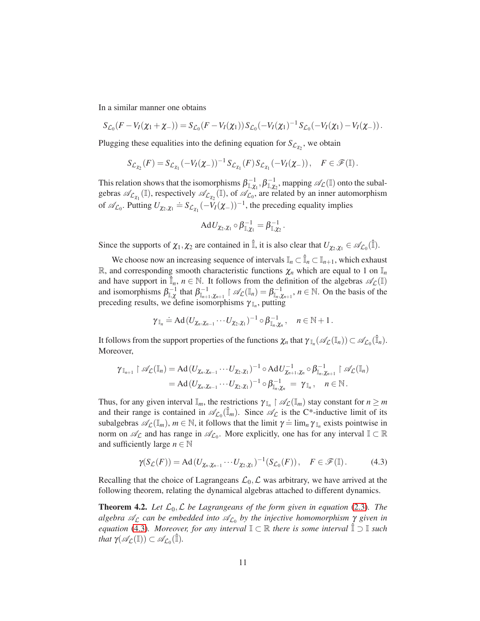In a similar manner one obtains

$$
S_{\mathcal{L}_0}(F-V_I(\chi_1+\chi_-))=S_{\mathcal{L}_0}(F-V_I(\chi_1))S_{\mathcal{L}_0}(-V_I(\chi_1)^{-1}S_{\mathcal{L}_0}(-V_I(\chi_1)-V_I(\chi_-)).
$$

Plugging these equalities into the defining equation for  $S_{\mathcal{L}_{\chi_2}}$ , we obtain

$$
S_{\mathcal{L}_{\chi_2}}(F) = S_{\mathcal{L}_{\chi_1}}(-V_I(\chi_-))^{-1} S_{\mathcal{L}_{\chi_1}}(F) S_{\mathcal{L}_{\chi_1}}(-V_I(\chi_-)), \quad F \in \mathscr{F}(\mathbb{I}).
$$

This relation shows that the isomorphisms  $\beta_{\mathbb{I}, \chi_1}^{-1}, \beta_{\mathbb{I}, \chi_2}^{-1}$ , mapping  $\mathscr{A}_{\mathcal{L}}(\mathbb{I})$  onto the subalgebras  $\mathscr{A}_{\mathcal{L}_{\chi_1}}(\mathbb{I})$ , respectively  $\mathscr{A}_{\mathcal{L}_{\chi_2}}(\mathbb{I})$ , of  $\mathscr{A}_{\mathcal{L}_0}$ , are related by an inner automorphism of  $\mathscr{A}_{\mathcal{L}_0}$ . Putting  $U_{\chi_2, \chi_1} \doteq S_{\mathcal{L}_{\chi_1}}(-V_I(\chi_-))^{-1}$ , the preceding equality implies

$$
\mathrm{Ad}U_{\chi_2,\chi_1}\circ\beta_{\mathbb{I},\chi_1}^{-1}=\beta_{\mathbb{I},\chi_2}^{-1}.
$$

Since the supports of  $\chi_1, \chi_2$  are contained in  $\hat{\mathbb{I}}$ , it is also clear that  $U_{\chi_2, \chi_1} \in \mathscr{A}_{\mathcal{L}_0}(\hat{\mathbb{I}})$ .

We choose now an increasing sequence of intervals  $\mathbb{I}_n \subset \hat{\mathbb{I}}_n \subset \mathbb{I}_{n+1}$ , which exhaust R, and corresponding smooth characteristic functions  $\chi_n$  which are equal to 1 on  $\mathbb{I}_n$ and have support in  $\hat{\mathbb{I}}_n$ ,  $n \in \mathbb{N}$ . It follows from the definition of the algebras  $\mathscr{A}_{\mathcal{L}}(\mathbb{I})$ and isomorphisms  $\beta_{\mathbb{I}, \chi}^{-1}$  that  $\beta_{\mathbb{I}_{n+1}, \chi_{n+1}}^{-1} \upharpoonright \mathscr{A}_{\mathcal{L}}(\mathbb{I}_n) = \beta_{\mathbb{I}_n, \chi_{n+1}}^{-1}$ ,  $n \in \mathbb{N}$ . On the basis of the preceding results, we define isomorphisms  $\gamma_{\mathbb{I}_n}$ , putting

$$
\gamma_{\mathbb{I}_n} \doteq \mathrm{Ad}\left(U_{\chi_n,\chi_{n-1}}\cdots U_{\chi_2,\chi_1}\right)^{-1} \circ \beta_{\mathbb{I}_n,\chi_n}^{-1}, \quad n \in \mathbb{N}+1.
$$

It follows from the support properties of the functions  $\chi_n$  that  $\gamma_{\mathbb{I}_n}(\mathscr{A}_{\mathcal{L}}(\mathbb{I}_n)) \subset \mathscr{A}_{\mathcal{L}_0}(\hat{\mathbb{I}}_n)$ . Moreover,

$$
\gamma_{\mathbb{I}_{n+1}}\upharpoonright \mathscr{A}_{\mathcal{L}}(\mathbb{I}_n)=\mathrm{Ad}(U_{\chi_n,\chi_{n-1}}\cdots U_{\chi_2,\chi_1})^{-1}\circ \mathrm{Ad}U_{\chi_{n+1},\chi_n}^{-1}\circ \beta_{\mathbb{I}_n,\chi_{n+1}}^{-1}\upharpoonright \mathscr{A}_{\mathcal{L}}(\mathbb{I}_n)\\= \mathrm{Ad}(U_{\chi_n,\chi_{n-1}}\cdots U_{\chi_2,\chi_1})^{-1}\circ \beta_{\mathbb{I}_n,\chi_n}^{-1}=\gamma_{\mathbb{I}_n},\quad n\in\mathbb{N}.
$$

Thus, for any given interval  $\mathbb{I}_m$ , the restrictions  $\gamma_{\mathbb{I}_n} \restriction \mathscr{A}_{\mathcal{L}}(\mathbb{I}_m)$  stay constant for  $n \geq m$ and their range is contained in  $\mathscr{A}_{\mathcal{L}_0}(\hat{I}_m)$ . Since  $\mathscr{A}_{\mathcal{L}}$  is the C\*-inductive limit of its subalgebras  $\mathscr{A}_{\mathcal{L}}(\mathbb{I}_m)$ ,  $m \in \mathbb{N}$ , it follows that the limit  $\gamma \doteq \lim_{n} \gamma_{\mathbb{I}_n}$  exists pointwise in norm on  $\mathscr{A}_{\mathcal{L}}$  and has range in  $\mathscr{A}_{\mathcal{L}_0}$ . More explicitly, one has for any interval  $\mathbb{I} \subset \mathbb{R}$ and sufficiently large  $n \in \mathbb{N}$ 

<span id="page-10-0"></span>
$$
\gamma(S_{\mathcal{L}}(F)) = \mathrm{Ad}(U_{\chi_n,\chi_{n-1}}\cdots U_{\chi_2,\chi_1})^{-1}(S_{\mathcal{L}_0}(F)), \quad F \in \mathscr{F}(\mathbb{I}).\tag{4.3}
$$

Recalling that the choice of Lagrangeans  $\mathcal{L}_0$ ,  $\mathcal{L}$  was arbitrary, we have arrived at the following theorem, relating the dynamical algebras attached to different dynamics.

<span id="page-10-1"></span>**Theorem 4.2.** Let  $\mathcal{L}_0, \mathcal{L}$  be Lagrangeans of the form given in equation [\(2.3\)](#page-3-1). The *algebra* A<sup>L</sup> *can be embedded into* AL<sup>0</sup> *by the injective homomorphism* γ *given in equation* [\(4.3\)](#page-10-0)*. Moreover, for any interval*  $\mathbb{I} \subset \mathbb{R}$  *there is some interval*  $\mathbb{I} \supset \mathbb{I}$  *such* that  $\gamma(\mathscr{A}_{\mathcal{L}}(\mathbb{I})) \subset \mathscr{A}_{\mathcal{L}_0}(\hat{\mathbb{I}}).$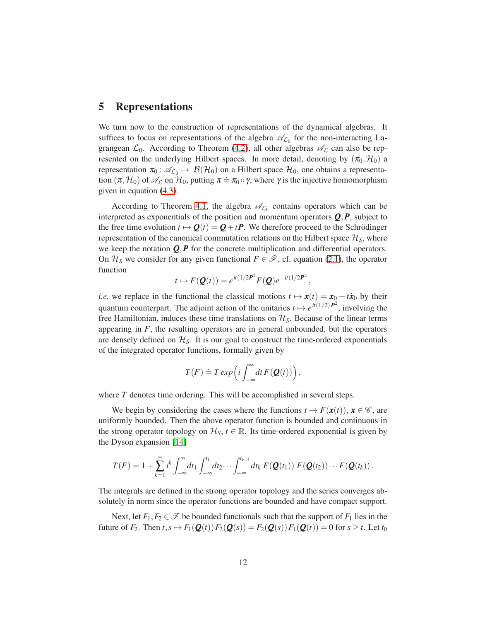# 5 Representations

We turn now to the construction of representations of the dynamical algebras. It suffices to focus on representations of the algebra  $\mathcal{A}_{L_0}$  for the non-interacting Lagrangean  $\mathcal{L}_0$ . According to Theorem [\(4.2\)](#page-10-1), all other algebras  $\mathscr{A}_{\mathcal{L}}$  can also be represented on the underlying Hilbert spaces. In more detail, denoting by  $(\pi_0, \mathcal{H}_0)$  a representation  $\pi_0$ :  $\mathscr{A}_{\mathcal{L}_0} \to \mathcal{B}(\mathcal{H}_0)$  on a Hilbert space  $\mathcal{H}_0$ , one obtains a representation  $(\pi, H_0)$  of  $\mathscr{A}_{\mathcal{L}}$  on  $H_0$ , putting  $\pi = \pi_0 \circ \gamma$ , where  $\gamma$  is the injective homomorphism given in equation [\(4.3\)](#page-10-0).

According to Theorem [4.1,](#page-8-0) the algebra  $\mathscr{A}_{\mathcal{L}_0}$  contains operators which can be interpreted as exponentials of the position and momentum operators  $Q$ ,  $P$ , subject to the free time evolution  $t \mapsto Q(t) = Q + tP$ . We therefore proceed to the Schrödinger representation of the canonical commutation relations on the Hilbert space  $\mathcal{H}_s$ , where we keep the notation *Q*,*P* for the concrete multiplication and differential operators. On  $\mathcal{H}_S$  we consider for any given functional  $F \in \mathcal{F}$ , cf. equation [\(2.1\)](#page-3-0), the operator function

$$
t \mapsto F(\mathbf{Q}(t)) = e^{it(1/2\mathbf{P}^2)} F(\mathbf{Q}) e^{-it(1/2\mathbf{P}^2)}
$$

,

*i.e.* we replace in the functional the classical motions  $t \mapsto x(t) = x_0 + t\dot{x}_0$  by their quantum counterpart. The adjoint action of the unitaries  $t \mapsto e^{it(1/2)P^2}$ , involving the free Hamiltonian, induces these time translations on  $\mathcal{H}_S$ . Because of the linear terms appearing in  $F$ , the resulting operators are in general unbounded, but the operators are densely defined on  $\mathcal{H}_S$ . It is our goal to construct the time-ordered exponentials of the integrated operator functions, formally given by

$$
T(F) \doteq T \exp\left(i \int_{-\infty}^{\infty} dt F(Q(t))\right),\,
$$

where *T* denotes time ordering. This will be accomplished in several steps.

We begin by considering the cases where the functions  $t \mapsto F(\mathbf{x}(t))$ ,  $\mathbf{x} \in \mathcal{C}$ , are uniformly bounded. Then the above operator function is bounded and continuous in the strong operator topology on  $\mathcal{H}_S$ ,  $t \in \mathbb{R}$ . Its time-ordered exponential is given by the Dyson expansion [\[14\]](#page-20-4)

$$
T(F) = 1 + \sum_{k=1}^{\infty} i^k \int_{-\infty}^{\infty} dt_1 \int_{-\infty}^{t_1} dt_2 \cdots \int_{-\infty}^{t_{k-1}} dt_k F(\mathbf{Q}(t_1)) F(\mathbf{Q}(t_2)) \cdots F(\mathbf{Q}(t_k)).
$$

The integrals are defined in the strong operator topology and the series converges absolutely in norm since the operator functions are bounded and have compact support.

Next, let  $F_1, F_2 \in \mathcal{F}$  be bounded functionals such that the support of  $F_1$  lies in the future of  $F_2$ . Then  $t, s \mapsto F_1(\mathbf{Q}(t)) F_2(\mathbf{Q}(s)) = F_2(\mathbf{Q}(s)) F_1(\mathbf{Q}(t)) = 0$  for  $s \ge t$ . Let  $t_0$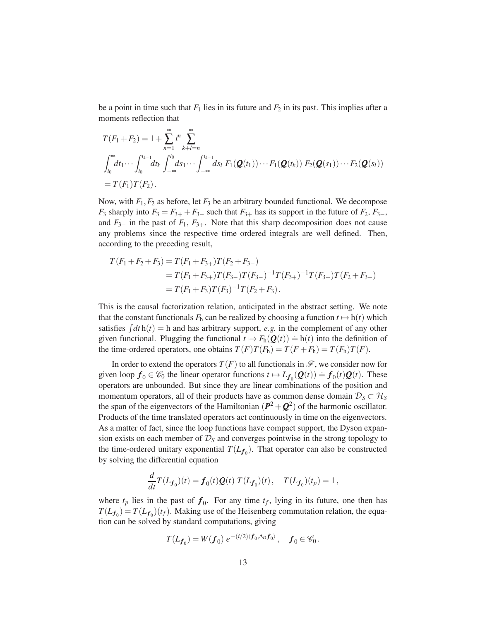be a point in time such that  $F_1$  lies in its future and  $F_2$  in its past. This implies after a moments reflection that

$$
T(F_1 + F_2) = 1 + \sum_{n=1}^{\infty} i^n \sum_{k+l=n}^{\infty}
$$
  

$$
\int_{t_0}^{\infty} dt_1 \cdots \int_{t_0}^{t_{k-1}} dt_k \int_{-\infty}^{t_0} ds_1 \cdots \int_{-\infty}^{t_{k-1}} ds_l F_1(\mathbf{Q}(t_1)) \cdots F_1(\mathbf{Q}(t_k)) F_2(\mathbf{Q}(s_1)) \cdots F_2(\mathbf{Q}(s_l))
$$
  
=  $T(F_1)T(F_2)$ .

Now, with  $F_1$ ,  $F_2$  as before, let  $F_3$  be an arbitrary bounded functional. We decompose  $F_3$  sharply into  $F_3 = F_{3+} + F_{3-}$  such that  $F_{3+}$  has its support in the future of  $F_2, F_{3-}$ , and  $F_{3-}$  in the past of  $F_1, F_{3+}$ . Note that this sharp decomposition does not cause any problems since the respective time ordered integrals are well defined. Then, according to the preceding result,

$$
T(F_1 + F_2 + F_3) = T(F_1 + F_{3+})T(F_2 + F_{3-})
$$
  
=  $T(F_1 + F_{3+})T(F_{3-})T(F_{3-})^{-1}T(F_{3+})^{-1}T(F_{3+})T(F_2 + F_{3-})$   
=  $T(F_1 + F_3)T(F_3)^{-1}T(F_2 + F_3)$ .

This is the causal factorization relation, anticipated in the abstract setting. We note that the constant functionals  $F_h$  can be realized by choosing a function  $t \mapsto h(t)$  which satisfies  $\int dt h(t) = h$  and has arbitrary support, *e.g.* in the complement of any other given functional. Plugging the functional  $t \mapsto F_h(\mathbf{Q}(t)) \doteq h(t)$  into the definition of the time-ordered operators, one obtains  $T(F)T(F_h) = T(F + F_h) = T(F_h)T(F)$ .

In order to extend the operators  $T(F)$  to all functionals in  $\mathscr{F}$ , we consider now for given loop  $f_0 \in \mathcal{C}_0$  the linear operator functions  $t \mapsto L_{f_0}(\mathbf{Q}(t)) = f_0(t)\mathbf{Q}(t)$ . These operators are unbounded. But since they are linear combinations of the position and momentum operators, all of their products have as common dense domain  $D_S \subset H_S$ the span of the eigenvectors of the Hamiltonian  $(P^2 + Q^2)$  of the harmonic oscillator. Products of the time translated operators act continuously in time on the eigenvectors. As a matter of fact, since the loop functions have compact support, the Dyson expansion exists on each member of  $\mathcal{D}_S$  and converges pointwise in the strong topology to the time-ordered unitary exponential  $T(L_{f_0})$ . That operator can also be constructed by solving the differential equation

$$
\frac{d}{dt}T(L_{f_0})(t) = f_0(t)Q(t) T(L_{f_0})(t), \quad T(L_{f_0})(t_p) = 1,
$$

where  $t_p$  lies in the past of  $f_0$ . For any time  $t_f$ , lying in its future, one then has  $T(L_{f_0}) = T(L_{f_0})(t_f)$ . Making use of the Heisenberg commutation relation, the equation can be solved by standard computations, giving

$$
T(L_{\boldsymbol{f}_0})=W(\boldsymbol{f}_0)\;e^{-(i/2)\langle\boldsymbol{f}_0,\Delta_D\boldsymbol{f}_0\rangle}\,,\quad\boldsymbol{f}_0\in\mathscr{C}_0\,.
$$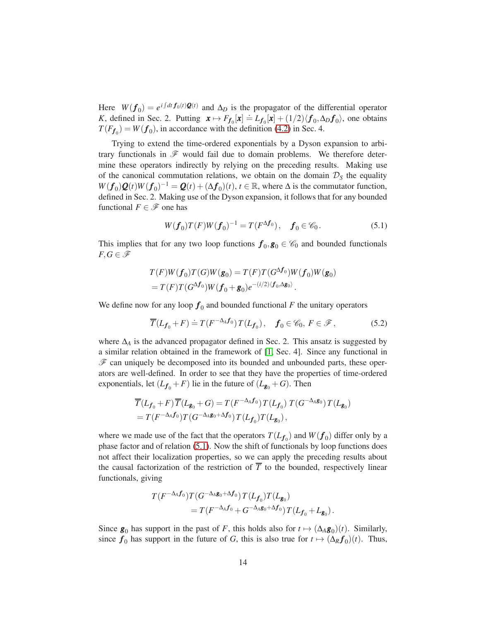Here  $W(f_0) = e^{i \int dt f_0(t) \mathcal{Q}(t)}$  and  $\Delta_D$  is the propagator of the differential operator *K*, defined in Sec. 2. Putting  $x \mapsto F_{f_0}[x] = L_{f_0}[x] + (1/2)\langle f_0, \Delta_D f_0 \rangle$ , one obtains  $T(F_{f_0}) = W(f_0)$ , in accordance with the definition [\(4.2\)](#page-6-0) in Sec. 4.

Trying to extend the time-ordered exponentials by a Dyson expansion to arbitrary functionals in  $\mathscr F$  would fail due to domain problems. We therefore determine these operators indirectly by relying on the preceding results. Making use of the canonical commutation relations, we obtain on the domain  $\mathcal{D}_S$  the equality  $W(f_0)Q(t)W(f_0)^{-1} = Q(t) + (\Delta f_0)(t), t \in \mathbb{R}$ , where  $\Delta$  is the commutator function, defined in Sec. 2. Making use of the Dyson expansion, it follows that for any bounded functional  $F \in \mathscr{F}$  one has

<span id="page-13-0"></span>
$$
W(f_0)T(F)W(f_0)^{-1} = T(F^{\Delta f_0}), \quad f_0 \in \mathscr{C}_0.
$$
 (5.1)

This implies that for any two loop functions  $f_0, g_0 \in \mathcal{C}_0$  and bounded functionals  $F,G \in \mathscr{F}$ 

$$
T(F)W(f_0)T(G)W(g_0) = T(F)T(G^{\Delta f_0})W(f_0)W(g_0)
$$
  
= 
$$
T(F)T(G^{\Delta f_0})W(f_0 + g_0)e^{-(i/2)\langle f_0, \Delta g_0 \rangle}.
$$

We define now for any loop  $f_0$  and bounded functional  $F$  the unitary operators

<span id="page-13-1"></span>
$$
\overline{T}(L_{\mathbf{f}_0} + F) \doteq T(F^{-\Delta_A \mathbf{f}_0}) T(L_{\mathbf{f}_0}), \quad \mathbf{f}_0 \in \mathscr{C}_0, \ F \in \mathscr{F}, \tag{5.2}
$$

where  $\Delta$ <sup>*A*</sup> is the advanced propagator defined in Sec. 2. This ansatz is suggested by a similar relation obtained in the framework of [\[1,](#page-19-5) Sec. 4]. Since any functional in  $\mathscr F$  can uniquely be decomposed into its bounded and unbounded parts, these operators are well-defined. In order to see that they have the properties of time-ordered exponentials, let  $(L_{f_0} + F)$  lie in the future of  $(L_{g_0} + G)$ . Then

$$
\overline{T}(L_{\mathbf{f}_0} + F) \overline{T}(L_{\mathbf{g}_0} + G) = T(F^{-\Delta_A \mathbf{f}_0}) T(L_{\mathbf{f}_0}) T(G^{-\Delta_A \mathbf{g}_0}) T(L_{\mathbf{g}_0})
$$
  
=  $T(F^{-\Delta_A \mathbf{f}_0}) T(G^{-\Delta_A \mathbf{g}_0 + \Delta \mathbf{f}_0}) T(L_{\mathbf{f}_0}) T(L_{\mathbf{g}_0}),$ 

where we made use of the fact that the operators  $T(L_{f_0})$  and  $W(f_0)$  differ only by a phase factor and of relation [\(5.1\)](#page-13-0). Now the shift of functionals by loop functions does not affect their localization properties, so we can apply the preceding results about the causal factorization of the restriction of  $\overline{T}$  to the bounded, respectively linear functionals, giving

$$
T(F^{-\Delta_A f_0})T(G^{-\Delta_A g_0+\Delta f_0})T(L_{f_0})T(L_{g_0})
$$
  
=  $T(F^{-\Delta_A f_0}+G^{-\Delta_A g_0+\Delta f_0})T(L_{f_0}+L_{g_0}).$ 

Since  $g_0$  has support in the past of *F*, this holds also for  $t \mapsto (\Delta_A g_0)(t)$ . Similarly, since  $f_0$  has support in the future of *G*, this is also true for  $t \mapsto (\Delta_R f_0)(t)$ . Thus,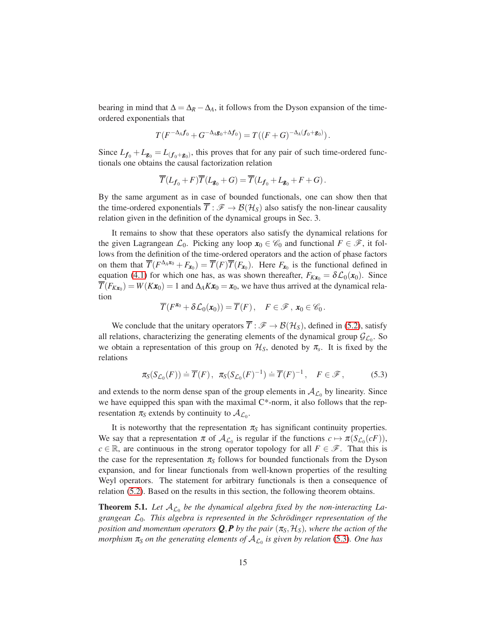bearing in mind that  $\Delta = \Delta_R - \Delta_A$ , it follows from the Dyson expansion of the timeordered exponentials that

$$
T(F^{-\Delta_A f_0} + G^{-\Delta_A g_0 + \Delta f_0}) = T((F+G)^{-\Delta_A (f_0 + g_0)})\,.
$$

Since  $L_{f_0} + L_{g_0} = L_{(f_0 + g_0)}$ , this proves that for any pair of such time-ordered functionals one obtains the causal factorization relation

$$
\overline{T}(L_{{\textbf {f}}_0}+F)\overline{T}(L_{{\textbf {g}}_0}+G)=\overline{T}(L_{{\textbf {f}}_0}+L_{{\textbf {g}}_0}+F+G)\,.
$$

By the same argument as in case of bounded functionals, one can show then that the time-ordered exponentials  $\overline{T}: \mathscr{F} \to \mathcal{B}(\mathcal{H}_S)$  also satisfy the non-linear causality relation given in the definition of the dynamical groups in Sec. 3.

It remains to show that these operators also satisfy the dynamical relations for the given Lagrangean  $\mathcal{L}_0$ . Picking any loop  $\mathbf{x}_0 \in \mathscr{C}_0$  and functional  $F \in \mathscr{F}$ , it follows from the definition of the time-ordered operators and the action of phase factors on them that  $\overline{T}(F^{\Delta_A x_0} + F_{x_0}) = \overline{T}(F)\overline{T}(F_{x_0})$ . Here  $F_{x_0}$  is the functional defined in equation [\(4.1\)](#page-6-1) for which one has, as was shown thereafter,  $F_{Kx_0} = \delta \mathcal{L}_0(x_0)$ . Since  $\overline{T}(F_{Kx_0}) = W(Kx_0) = 1$  and  $\Delta_A Kx_0 = x_0$ , we have thus arrived at the dynamical relation

$$
\overline{T}(F^{\mathbf{x}_0} + \delta \mathcal{L}_0(\mathbf{x}_0)) = \overline{T}(F), \quad F \in \mathscr{F}, \mathbf{x}_0 \in \mathscr{C}_0.
$$

We conclude that the unitary operators  $\overline{T}: \mathscr{F} \to \mathcal{B}(\mathcal{H}_S)$ , defined in [\(5.2\)](#page-13-1), satisfy all relations, characterizing the generating elements of the dynamical group  $\mathcal{G}_{\mathcal{L}_0}$ . So we obtain a representation of this group on  $\mathcal{H}_S$ , denoted by  $\pi_s$ . It is fixed by the relations

<span id="page-14-0"></span>
$$
\pi_{\mathcal{S}}(S_{\mathcal{L}_0}(F)) \doteq \overline{T}(F), \quad \pi_{\mathcal{S}}(S_{\mathcal{L}_0}(F)^{-1}) \doteq \overline{T}(F)^{-1}, \quad F \in \mathcal{F}, \tag{5.3}
$$

and extends to the norm dense span of the group elements in  $A_{\mathcal{L}_0}$  by linearity. Since we have equipped this span with the maximal  $C^*$ -norm, it also follows that the representation  $\pi_S$  extends by continuity to  $\mathcal{A}_{\mathcal{L}_0}$ .

It is noteworthy that the representation  $\pi_S$  has significant continuity properties. We say that a representation  $\pi$  of  $\mathcal{A}_{\mathcal{L}_0}$  is regular if the functions  $c \mapsto \pi(S_{\mathcal{L}_0}(cF))$ ,  $c \in \mathbb{R}$ , are continuous in the strong operator topology for all  $F \in \mathscr{F}$ . That this is the case for the representation  $\pi<sub>S</sub>$  follows for bounded functionals from the Dyson expansion, and for linear functionals from well-known properties of the resulting Weyl operators. The statement for arbitrary functionals is then a consequence of relation [\(5.2\)](#page-13-1). Based on the results in this section, the following theorem obtains.

<span id="page-14-1"></span>**Theorem 5.1.** Let  $A_{\mathcal{L}_0}$  be the dynamical algebra fixed by the non-interacting La*grangean*  $\mathcal{L}_0$ . This algebra is represented in the Schrödinger representation of the *position and momentum operators*  $Q$ *, P by the pair*  $(\pi_S, \mathcal{H}_S)$ *, where the action of the morphism*  $\pi_S$  *on the generating elements of*  $A_{\mathcal{L}_0}$  *is given by relation* [\(5.3\)](#page-14-0). One has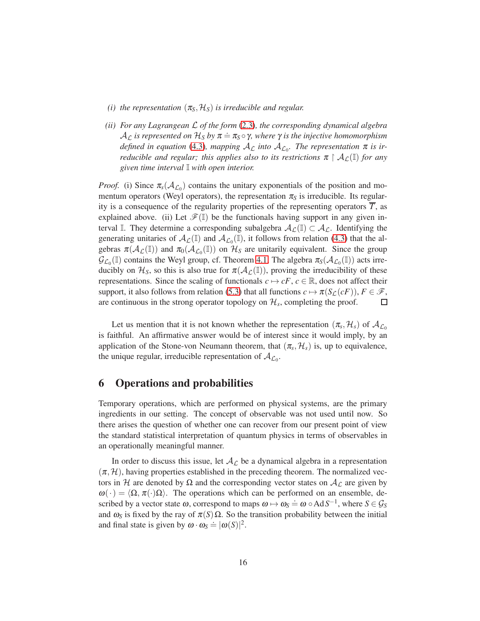- *(i) the representation*  $(\pi_S, \mathcal{H}_S)$  *is irreducible and regular.*
- *(ii) For any Lagrangean* L *of the form* [\(2.3\)](#page-3-1)*, the corresponding dynamical algebra*  $A_{\mathcal{L}}$  *is represented on*  $\mathcal{H}_S$  *by*  $\pi = \pi_S \circ \gamma$ *, where*  $\gamma$  *is the injective homomorphism*  $d$ *efined in equation* [\(4.3\)](#page-10-0), mapping  $A_{\mathcal{L}}$  *into*  $A_{\mathcal{L}_0}$ . The representation  $\pi$  is ir*reducible and regular; this applies also to its restrictions*  $\pi \restriction A_{\mathcal{L}}(\mathbb{I})$  *for any given time interval* I *with open interior.*

*Proof.* (i) Since  $\pi_s(\mathcal{A}_{\mathcal{L}_0})$  contains the unitary exponentials of the position and momentum operators (Weyl operators), the representation  $\pi_S$  is irreducible. Its regularity is a consequence of the regularity properties of the representing operators  $\overline{T}$ , as explained above. (ii) Let  $\mathscr{F}(\mathbb{I})$  be the functionals having support in any given interval I. They determine a corresponding subalgebra  $A_{\mathcal{L}}(\mathbb{I}) \subset A_{\mathcal{L}}$ . Identifying the generating unitaries of  $\mathcal{A}_{\mathcal{L}}(\mathbb{I})$  and  $\mathcal{A}_{\mathcal{L}_0}(\mathbb{I})$ , it follows from relation [\(4.3\)](#page-10-0) that the algebras  $\pi(A_{\mathcal{L}}(\mathbb{I}))$  and  $\pi_0(A_{\mathcal{L}_0}(\mathbb{I}))$  on  $\mathcal{H}_S$  are unitarily equivalent. Since the group  $\mathcal{G}_{\mathcal{L}_0}(\mathbb{I})$  contains the Weyl group, cf. Theorem [4.1,](#page-8-0) The algebra  $\pi_S(\mathcal{A}_{\mathcal{L}_0}(\mathbb{I}))$  acts irreducibly on  $\mathcal{H}_S$ , so this is also true for  $\pi(\mathcal{A}_{\mathcal{L}}(\mathbb{I}))$ , proving the irreducibility of these representations. Since the scaling of functionals  $c \mapsto cF$ ,  $c \in \mathbb{R}$ , does not affect their support, it also follows from relation [\(5.3\)](#page-14-0) that all functions  $c \mapsto \pi(S_{\mathcal{L}}(cF))$ ,  $F \in \mathcal{F}$ , are continuous in the strong operator topology on  $\mathcal{H}_s$ , completing the proof.  $\Box$ 

Let us mention that it is not known whether the representation  $(\pi_s, \mathcal{H}_s)$  of  $\mathcal{A}_{\mathcal{L}_0}$ is faithful. An affirmative answer would be of interest since it would imply, by an application of the Stone-von Neumann theorem, that  $(\pi_s, \mathcal{H}_s)$  is, up to equivalence, the unique regular, irreducible representation of  $A_{\mathcal{L}_0}$ .

# 6 Operations and probabilities

Temporary operations, which are performed on physical systems, are the primary ingredients in our setting. The concept of observable was not used until now. So there arises the question of whether one can recover from our present point of view the standard statistical interpretation of quantum physics in terms of observables in an operationally meaningful manner.

In order to discuss this issue, let  $A_{\mathcal{L}}$  be a dynamical algebra in a representation  $(\pi, \mathcal{H})$ , having properties established in the preceding theorem. The normalized vectors in H are denoted by  $\Omega$  and the corresponding vector states on  $A_{\mathcal{L}}$  are given by  $\omega(\cdot) = \langle \Omega, \pi(\cdot) \Omega \rangle$ . The operations which can be performed on an ensemble, described by a vector state  $\omega$ , correspond to maps  $\omega \mapsto \omega_S = \omega \circ AdS^{-1}$ , where  $S \in \mathcal{G}_S$ and  $\omega_S$  is fixed by the ray of  $\pi(S) \Omega$ . So the transition probability between the initial and final state is given by  $\omega \cdot \omega_S = |\omega(S)|^2$ .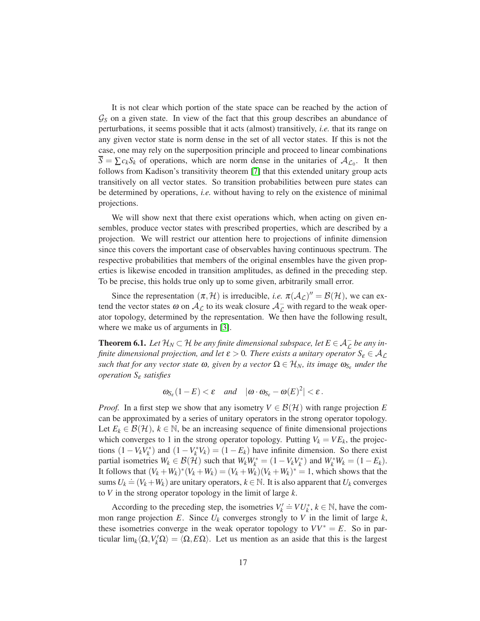It is not clear which portion of the state space can be reached by the action of G*<sup>S</sup>* on a given state. In view of the fact that this group describes an abundance of perturbations, it seems possible that it acts (almost) transitively, *i.e.* that its range on any given vector state is norm dense in the set of all vector states. If this is not the case, one may rely on the superposition principle and proceed to linear combinations  $S = \sum c_k S_k$  of operations, which are norm dense in the unitaries of  $A_{\mathcal{L}_0}$ . It then follows from Kadison's transitivity theorem [\[7\]](#page-19-6) that this extended unitary group acts transitively on all vector states. So transition probabilities between pure states can be determined by operations, *i.e.* without having to rely on the existence of minimal projections.

We will show next that there exist operations which, when acting on given ensembles, produce vector states with prescribed properties, which are described by a projection. We will restrict our attention here to projections of infinite dimension since this covers the important case of observables having continuous spectrum. The respective probabilities that members of the original ensembles have the given properties is likewise encoded in transition amplitudes, as defined in the preceding step. To be precise, this holds true only up to some given, arbitrarily small error.

Since the representation  $(\pi, \mathcal{H})$  is irreducible, *i.e.*  $\pi(\mathcal{A}_{\mathcal{L}})'' = \mathcal{B}(\mathcal{H})$ , we can extend the vector states  $\omega$  on  $\mathcal{A}_{\mathcal{L}}$  to its weak closure  $\mathcal{A}_{\mathcal{L}}^-$  with regard to the weak operator topology, determined by the representation. We then have the following result, where we make us of arguments in [\[3\]](#page-19-7).

**Theorem 6.1.** Let  $\mathcal{H}_N \subset \mathcal{H}$  be any finite dimensional subspace, let  $E \in \mathcal{A}_{\mathcal{L}}^-$  be any in*finite dimensional projection, and let*  $\varepsilon > 0$ *. There exists a unitary operator*  $S_{\varepsilon} \in A_{\mathcal{L}}$ *such that for any vector state*  $\omega$ , given by a vector  $\Omega \in \mathcal{H}_N$ , its image  $\omega_{S_{\varepsilon}}$  under the *operation S*<sup>ε</sup> *satisfies*

$$
\omega_{S_{\varepsilon}}(1-E) < \varepsilon
$$
 and  $|\omega \cdot \omega_{S_{\varepsilon}} - \omega(E)^2| < \varepsilon$ .

*Proof.* In a first step we show that any isometry  $V \in \mathcal{B}(\mathcal{H})$  with range projection E can be approximated by a series of unitary operators in the strong operator topology. Let  $E_k \in \mathcal{B}(\mathcal{H})$ ,  $k \in \mathbb{N}$ , be an increasing sequence of finite dimensional projections which converges to 1 in the strong operator topology. Putting  $V_k = VE_k$ , the projections  $(1 - V_k V_k^*)$  and  $(1 - V_k^* V_k) = (1 - E_k)$  have infinite dimension. So there exist partial isometries  $W_k \in \mathcal{B}(\mathcal{H})$  such that  $W_k W_k^* = (1 - V_k V_k^*)$  and  $W_k^* W_k = (1 - E_k)$ . It follows that  $(V_k + W_k)^*(V_k + W_k) = (V_k + W_k)(V_k + W_k)^* = 1$ , which shows that the sums  $U_k = (V_k + W_k)$  are unitary operators,  $k \in \mathbb{N}$ . It is also apparent that  $U_k$  converges to *V* in the strong operator topology in the limit of large *k*.

According to the preceding step, the isometries  $V'_k \doteq V U^*_k$ ,  $k \in \mathbb{N}$ , have the common range projection  $E$ . Since  $U_k$  converges strongly to  $V$  in the limit of large  $k$ , these isometries converge in the weak operator topology to  $VV^* = E$ . So in particular  $\lim_k \langle \Omega, V_k' \Omega \rangle = \langle \Omega, E\Omega \rangle$ . Let us mention as an aside that this is the largest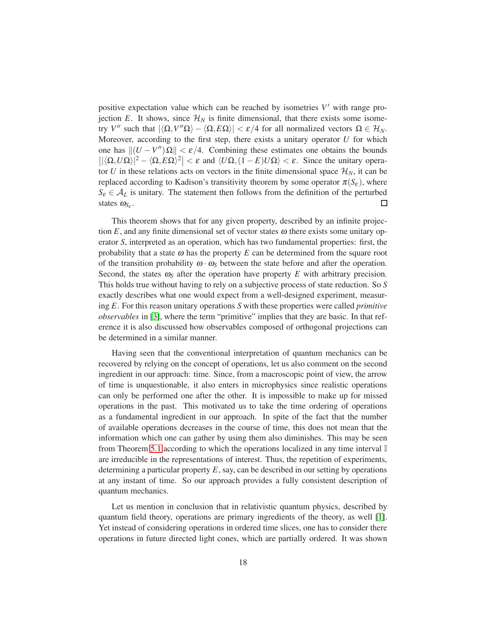positive expectation value which can be reached by isometries  $V'$  with range projection *E*. It shows, since  $\mathcal{H}_N$  is finite dimensional, that there exists some isome*try V*<sup>"</sup> such that  $|\langle \Omega, V''\Omega \rangle - \langle \Omega, E\Omega \rangle| < \varepsilon/4$  for all normalized vectors  $\Omega \in \mathcal{H}_N$ . Moreover, according to the first step, there exists a unitary operator *U* for which one has  $||(U - V''|\Omega|| < \varepsilon/4$ . Combining these estimates one obtains the bounds  $\left| |\langle \Omega, U \Omega \rangle|^2 - \langle \Omega, E \Omega \rangle^2 \right| < \varepsilon$  and  $\langle U \Omega, (1 - E) U \Omega \rangle < \varepsilon$ . Since the unitary operator *U* in these relations acts on vectors in the finite dimensional space  $\mathcal{H}_N$ , it can be replaced according to Kadison's transitivity theorem by some operator  $\pi(S_{\varepsilon})$ , where  $S_{\varepsilon} \in A_L$  is unitary. The statement then follows from the definition of the perturbed  $\Box$ states  $ω_{S_{\varepsilon}}$ .

This theorem shows that for any given property, described by an infinite projection  $E$ , and any finite dimensional set of vector states  $\omega$  there exists some unitary operator *S*, interpreted as an operation, which has two fundamental properties: first, the probability that a state  $\omega$  has the property  $E$  can be determined from the square root of the transition probability  $\omega \cdot \omega_s$  between the state before and after the operation. Second, the states  $\omega_s$  after the operation have property *E* with arbitrary precision. This holds true without having to rely on a subjective process of state reduction. So *S* exactly describes what one would expect from a well-designed experiment, measuring *E*. For this reason unitary operations *S* with these properties were called *primitive observables* in [\[3\]](#page-19-7), where the term "primitive" implies that they are basic. In that reference it is also discussed how observables composed of orthogonal projections can be determined in a similar manner.

Having seen that the conventional interpretation of quantum mechanics can be recovered by relying on the concept of operations, let us also comment on the second ingredient in our approach: time. Since, from a macroscopic point of view, the arrow of time is unquestionable, it also enters in microphysics since realistic operations can only be performed one after the other. It is impossible to make up for missed operations in the past. This motivated us to take the time ordering of operations as a fundamental ingredient in our approach. In spite of the fact that the number of available operations decreases in the course of time, this does not mean that the information which one can gather by using them also diminishes. This may be seen from Theorem [5.1](#page-14-1) according to which the operations localized in any time interval I are irreducible in the representations of interest. Thus, the repetition of experiments, determining a particular property *E*, say, can be described in our setting by operations at any instant of time. So our approach provides a fully consistent description of quantum mechanics.

Let us mention in conclusion that in relativistic quantum physics, described by quantum field theory, operations are primary ingredients of the theory, as well [\[1\]](#page-19-5). Yet instead of considering operations in ordered time slices, one has to consider there operations in future directed light cones, which are partially ordered. It was shown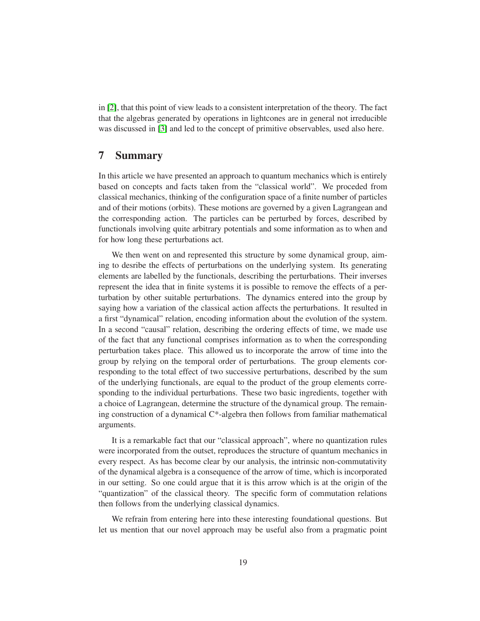in [\[2\]](#page-19-8), that this point of view leads to a consistent interpretation of the theory. The fact that the algebras generated by operations in lightcones are in general not irreducible was discussed in [\[3\]](#page-19-7) and led to the concept of primitive observables, used also here.

#### 7 Summary

In this article we have presented an approach to quantum mechanics which is entirely based on concepts and facts taken from the "classical world". We proceded from classical mechanics, thinking of the configuration space of a finite number of particles and of their motions (orbits). These motions are governed by a given Lagrangean and the corresponding action. The particles can be perturbed by forces, described by functionals involving quite arbitrary potentials and some information as to when and for how long these perturbations act.

We then went on and represented this structure by some dynamical group, aiming to desribe the effects of perturbations on the underlying system. Its generating elements are labelled by the functionals, describing the perturbations. Their inverses represent the idea that in finite systems it is possible to remove the effects of a perturbation by other suitable perturbations. The dynamics entered into the group by saying how a variation of the classical action affects the perturbations. It resulted in a first "dynamical" relation, encoding information about the evolution of the system. In a second "causal" relation, describing the ordering effects of time, we made use of the fact that any functional comprises information as to when the corresponding perturbation takes place. This allowed us to incorporate the arrow of time into the group by relying on the temporal order of perturbations. The group elements corresponding to the total effect of two successive perturbations, described by the sum of the underlying functionals, are equal to the product of the group elements corresponding to the individual perturbations. These two basic ingredients, together with a choice of Lagrangean, determine the structure of the dynamical group. The remaining construction of a dynamical C\*-algebra then follows from familiar mathematical arguments.

It is a remarkable fact that our "classical approach", where no quantization rules were incorporated from the outset, reproduces the structure of quantum mechanics in every respect. As has become clear by our analysis, the intrinsic non-commutativity of the dynamical algebra is a consequence of the arrow of time, which is incorporated in our setting. So one could argue that it is this arrow which is at the origin of the "quantization" of the classical theory. The specific form of commutation relations then follows from the underlying classical dynamics.

We refrain from entering here into these interesting foundational questions. But let us mention that our novel approach may be useful also from a pragmatic point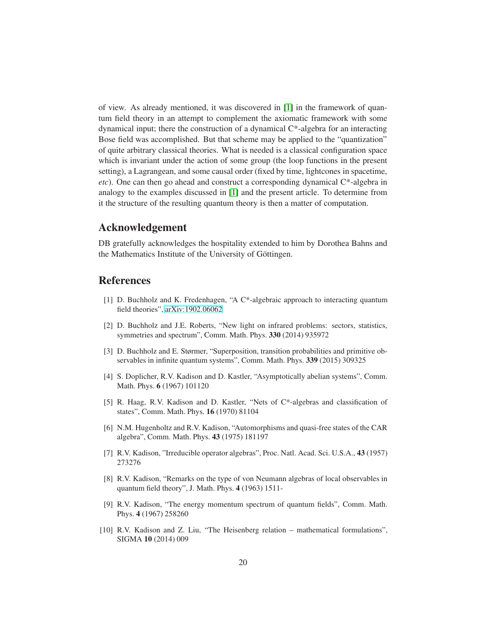of view. As already mentioned, it was discovered in [\[1\]](#page-19-5) in the framework of quantum field theory in an attempt to complement the axiomatic framework with some dynamical input; there the construction of a dynamical C\*-algebra for an interacting Bose field was accomplished. But that scheme may be applied to the "quantization" of quite arbitrary classical theories. What is needed is a classical configuration space which is invariant under the action of some group (the loop functions in the present setting), a Lagrangean, and some causal order (fixed by time, lightcones in spacetime, *etc*). One can then go ahead and construct a corresponding dynamical C\*-algebra in analogy to the examples discussed in [\[1\]](#page-19-5) and the present article. To determine from it the structure of the resulting quantum theory is then a matter of computation.

# Acknowledgement

DB gratefully acknowledges the hospitality extended to him by Dorothea Bahns and the Mathematics Institute of the University of Göttingen.

#### <span id="page-19-5"></span>References

- <span id="page-19-8"></span>[1] D. Buchholz and K. Fredenhagen, "A C\*-algebraic approach to interacting quantum field theories", [arXiv:1902.06062](http://arxiv.org/abs/1902.06062)
- [2] D. Buchholz and J.E. Roberts, "New light on infrared problems: sectors, statistics, symmetries and spectrum", Comm. Math. Phys. 330 (2014) 935972
- <span id="page-19-7"></span>[3] D. Buchholz and E. Størmer, "Superposition, transition probabilities and primitive observables in infinite quantum systems", Comm. Math. Phys. 339 (2015) 309325
- <span id="page-19-0"></span>[4] S. Doplicher, R.V. Kadison and D. Kastler, "Asymptotically abelian systems", Comm. Math. Phys. 6 (1967) 101120
- [5] R. Haag, R.V. Kadison and D. Kastler, "Nets of C\*-algebras and classification of states", Comm. Math. Phys. 16 (1970) 81104
- <span id="page-19-1"></span>[6] N.M. Hugenholtz and R.V. Kadison, "Automorphisms and quasi-free states of the CAR algebra", Comm. Math. Phys. 43 (1975) 181197
- <span id="page-19-6"></span><span id="page-19-2"></span>[7] R.V. Kadison, "Irreducible operator algebras", Proc. Natl. Acad. Sci. U.S.A., 43 (1957) 273276
- [8] R.V. Kadison, "Remarks on the type of von Neumann algebras of local observables in quantum field theory", J. Math. Phys. 4 (1963) 1511-
- <span id="page-19-3"></span>[9] R.V. Kadison, "The energy momentum spectrum of quantum fields", Comm. Math. Phys. 4 (1967) 258260
- <span id="page-19-4"></span>[10] R.V. Kadison and Z. Liu, "The Heisenberg relation – mathematical formulations", SIGMA 10 (2014) 009